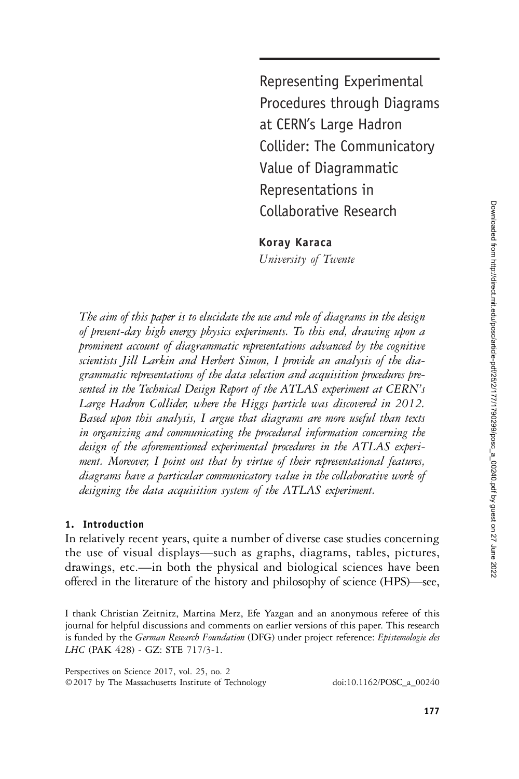Representing Experimental Procedures through Diagrams at CERN's Large Hadron Collider: The Communicatory Value of Diagrammatic Representations in Collaborative Research

Koray Karaca

University of Twente

The aim of this paper is to elucidate the use and role of diagrams in the design of present-day high energy physics experiments. To this end, drawing upon a prominent account of diagrammatic representations advanced by the cognitive scientists Jill Larkin and Herbert Simon, I provide an analysis of the diagrammatic representations of the data selection and acquisition procedures presented in the Technical Design Report of the ATLAS experiment at CERN's Large Hadron Collider, where the Higgs particle was discovered in 2012. Based upon this analysis, I argue that diagrams are more useful than texts in organizing and communicating the procedural information concerning the design of the aforementioned experimental procedures in the ATLAS experiment. Moreover, I point out that by virtue of their representational features, diagrams have a particular communicatory value in the collaborative work of designing the data acquisition system of the ATLAS experiment.

# 1. Introduction

In relatively recent years, quite a number of diverse case studies concerning the use of visual displays—such as graphs, diagrams, tables, pictures, drawings, etc.—in both the physical and biological sciences have been offered in the literature of the history and philosophy of science (HPS)—see,

I thank Christian Zeitnitz, Martina Merz, Efe Yazgan and an anonymous referee of this journal for helpful discussions and comments on earlier versions of this paper. This research is funded by the German Research Foundation (DFG) under project reference: Epistemologie des LHC (PAK 428) - GZ: STE 717/3-1.

Perspectives on Science 2017, vol. 25, no. 2 ©2017 by The Massachusetts Institute of Technology doi:10.1162/POSC\_a\_00240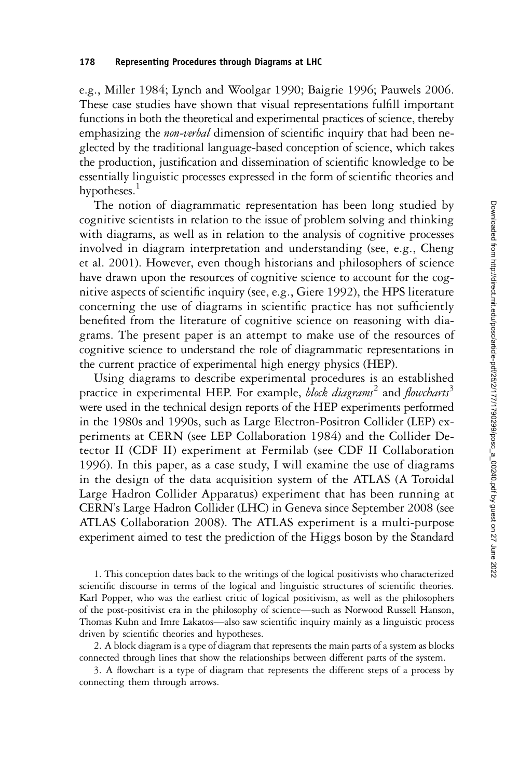#### 178 Representing Procedures through Diagrams at LHC

e.g., Miller 1984; Lynch and Woolgar 1990; Baigrie 1996; Pauwels 2006. These case studies have shown that visual representations fulfill important functions in both the theoretical and experimental practices of science, thereby emphasizing the *non-verbal* dimension of scientific inquiry that had been neglected by the traditional language-based conception of science, which takes the production, justification and dissemination of scientific knowledge to be essentially linguistic processes expressed in the form of scientific theories and hypotheses.<sup>1</sup>

The notion of diagrammatic representation has been long studied by cognitive scientists in relation to the issue of problem solving and thinking with diagrams, as well as in relation to the analysis of cognitive processes involved in diagram interpretation and understanding (see, e.g., Cheng et al. 2001). However, even though historians and philosophers of science have drawn upon the resources of cognitive science to account for the cognitive aspects of scientific inquiry (see, e.g., Giere 1992), the HPS literature concerning the use of diagrams in scientific practice has not sufficiently benefited from the literature of cognitive science on reasoning with diagrams. The present paper is an attempt to make use of the resources of cognitive science to understand the role of diagrammatic representations in the current practice of experimental high energy physics (HEP).

Using diagrams to describe experimental procedures is an established practice in experimental HEP. For example, *block diagrams*<sup>2</sup> and *flowcharts*<sup>3</sup> were used in the technical design reports of the HEP experiments performed in the 1980s and 1990s, such as Large Electron-Positron Collider (LEP) experiments at CERN (see LEP Collaboration 1984) and the Collider Detector II (CDF II) experiment at Fermilab (see CDF II Collaboration 1996). In this paper, as a case study, I will examine the use of diagrams in the design of the data acquisition system of the ATLAS (A Toroidal Large Hadron Collider Apparatus) experiment that has been running at CERN's Large Hadron Collider (LHC) in Geneva since September 2008 (see ATLAS Collaboration 2008). The ATLAS experiment is a multi-purpose experiment aimed to test the prediction of the Higgs boson by the Standard

1. This conception dates back to the writings of the logical positivists who characterized scientific discourse in terms of the logical and linguistic structures of scientific theories. Karl Popper, who was the earliest critic of logical positivism, as well as the philosophers of the post-positivist era in the philosophy of science—such as Norwood Russell Hanson, Thomas Kuhn and Imre Lakatos—also saw scientific inquiry mainly as a linguistic process driven by scientific theories and hypotheses.

2. A block diagram is a type of diagram that represents the main parts of a system as blocks connected through lines that show the relationships between different parts of the system.

3. A flowchart is a type of diagram that represents the different steps of a process by connecting them through arrows.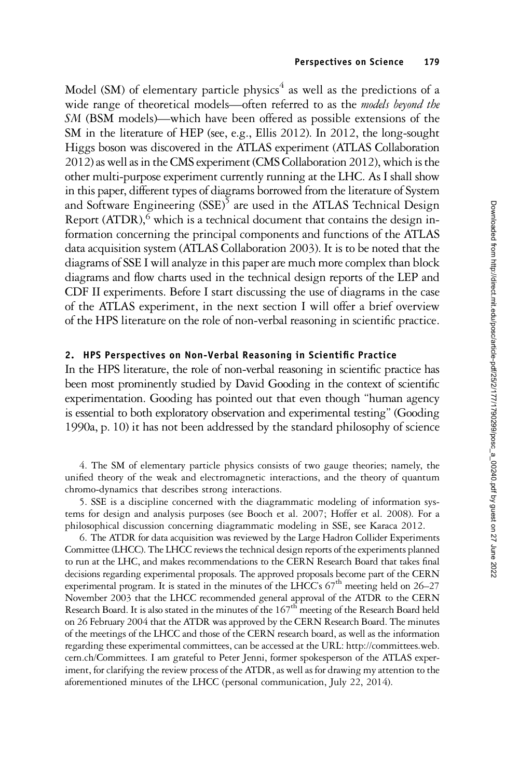Model (SM) of elementary particle physics<sup>4</sup> as well as the predictions of a wide range of theoretical models—often referred to as the *models beyond the* SM (BSM models)—which have been offered as possible extensions of the SM in the literature of HEP (see, e.g., Ellis 2012). In 2012, the long-sought Higgs boson was discovered in the ATLAS experiment (ATLAS Collaboration 2012) as well as in the CMS experiment (CMS Collaboration 2012), which is the other multi-purpose experiment currently running at the LHC. As I shall show in this paper, different types of diagrams borrowed from the literature of System and Software Engineering  $(SSE)^5$  are used in the ATLAS Technical Design Report  $(ATDR)$ , which is a technical document that contains the design information concerning the principal components and functions of the ATLAS data acquisition system (ATLAS Collaboration 2003). It is to be noted that the diagrams of SSE I will analyze in this paper are much more complex than block diagrams and flow charts used in the technical design reports of the LEP and CDF II experiments. Before I start discussing the use of diagrams in the case of the ATLAS experiment, in the next section I will offer a brief overview of the HPS literature on the role of non-verbal reasoning in scientific practice.

### 2. HPS Perspectives on Non-Verbal Reasoning in Scientific Practice

In the HPS literature, the role of non-verbal reasoning in scientific practice has been most prominently studied by David Gooding in the context of scientific experimentation. Gooding has pointed out that even though "human agency is essential to both exploratory observation and experimental testing" (Gooding 1990a, p. 10) it has not been addressed by the standard philosophy of science

4. The SM of elementary particle physics consists of two gauge theories; namely, the unified theory of the weak and electromagnetic interactions, and the theory of quantum chromo-dynamics that describes strong interactions.

5. SSE is a discipline concerned with the diagrammatic modeling of information systems for design and analysis purposes (see Booch et al. 2007; Hoffer et al. 2008). For a philosophical discussion concerning diagrammatic modeling in SSE, see Karaca 2012.

6. The ATDR for data acquisition was reviewed by the Large Hadron Collider Experiments Committee (LHCC). The LHCC reviews the technical design reports of the experiments planned to run at the LHC, and makes recommendations to the CERN Research Board that takes final decisions regarding experimental proposals. The approved proposals become part of the CERN experimental program. It is stated in the minutes of the LHCC's  $67<sup>th</sup>$  meeting held on 26–27 November 2003 that the LHCC recommended general approval of the ATDR to the CERN Research Board. It is also stated in the minutes of the 167<sup>th</sup> meeting of the Research Board held on 26 February 2004 that the ATDR was approved by the CERN Research Board. The minutes of the meetings of the LHCC and those of the CERN research board, as well as the information regarding these experimental committees, can be accessed at the URL: http://committees.web. cern.ch/Committees. I am grateful to Peter Jenni, former spokesperson of the ATLAS experiment, for clarifying the review process of the ATDR, as well as for drawing my attention to the aforementioned minutes of the LHCC (personal communication, July 22, 2014).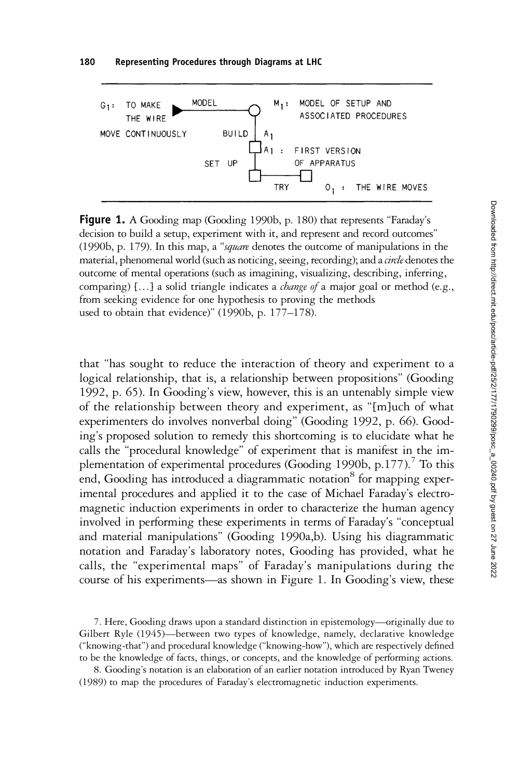

Figure 1. A Gooding map (Gooding 1990b, p. 180) that represents "Faraday's decision to build a setup, experiment with it, and represent and record outcomes" (1990b, p. 179). In this map, a "square denotes the outcome of manipulations in the material, phenomenal world (such as noticing, seeing, recording); and a *circle* denotes the outcome of mental operations (such as imagining, visualizing, describing, inferring, comparing) [...] a solid triangle indicates a *change of* a major goal or method (e.g., from seeking evidence for one hypothesis to proving the methods used to obtain that evidence)" (1990b, p. 177–178).

that "has sought to reduce the interaction of theory and experiment to a logical relationship, that is, a relationship between propositions" (Gooding 1992, p. 65). In Gooding's view, however, this is an untenably simple view of the relationship between theory and experiment, as "[m]uch of what experimenters do involves nonverbal doing" (Gooding 1992, p. 66). Gooding's proposed solution to remedy this shortcoming is to elucidate what he calls the "procedural knowledge" of experiment that is manifest in the implementation of experimental procedures (Gooding 1990b, p.177).<sup>7</sup> To this end, Gooding has introduced a diagrammatic notation<sup>8</sup> for mapping experimental procedures and applied it to the case of Michael Faraday's electromagnetic induction experiments in order to characterize the human agency involved in performing these experiments in terms of Faraday's "conceptual and material manipulations" (Gooding 1990a,b). Using his diagrammatic notation and Faraday's laboratory notes, Gooding has provided, what he calls, the "experimental maps" of Faraday's manipulations during the course of his experiments—as shown in Figure 1. In Gooding's view, these

7. Here, Gooding draws upon a standard distinction in epistemology—originally due to Gilbert Ryle (1945)—between two types of knowledge, namely, declarative knowledge ("knowing-that") and procedural knowledge ("knowing-how"), which are respectively defined to be the knowledge of facts, things, or concepts, and the knowledge of performing actions.

8. Gooding's notation is an elaboration of an earlier notation introduced by Ryan Tweney (1989) to map the procedures of Faraday's electromagnetic induction experiments.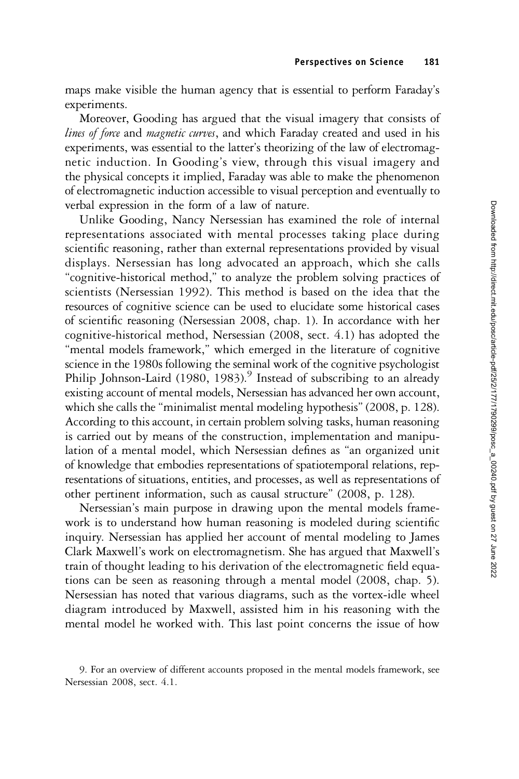maps make visible the human agency that is essential to perform Faraday's experiments.

Moreover, Gooding has argued that the visual imagery that consists of lines of force and magnetic curves, and which Faraday created and used in his experiments, was essential to the latter's theorizing of the law of electromagnetic induction. In Gooding's view, through this visual imagery and the physical concepts it implied, Faraday was able to make the phenomenon of electromagnetic induction accessible to visual perception and eventually to verbal expression in the form of a law of nature.

Unlike Gooding, Nancy Nersessian has examined the role of internal representations associated with mental processes taking place during scientific reasoning, rather than external representations provided by visual displays. Nersessian has long advocated an approach, which she calls "cognitive-historical method," to analyze the problem solving practices of scientists (Nersessian 1992). This method is based on the idea that the resources of cognitive science can be used to elucidate some historical cases of scientific reasoning (Nersessian 2008, chap. 1). In accordance with her cognitive-historical method, Nersessian (2008, sect. 4.1) has adopted the "mental models framework," which emerged in the literature of cognitive science in the 1980s following the seminal work of the cognitive psychologist Philip Johnson-Laird (1980, 1983).<sup>9</sup> Instead of subscribing to an already existing account of mental models, Nersessian has advanced her own account, which she calls the "minimalist mental modeling hypothesis" (2008, p. 128). According to this account, in certain problem solving tasks, human reasoning is carried out by means of the construction, implementation and manipulation of a mental model, which Nersessian defines as "an organized unit of knowledge that embodies representations of spatiotemporal relations, representations of situations, entities, and processes, as well as representations of other pertinent information, such as causal structure" (2008, p. 128).

Nersessian's main purpose in drawing upon the mental models framework is to understand how human reasoning is modeled during scientific inquiry. Nersessian has applied her account of mental modeling to James Clark Maxwell's work on electromagnetism. She has argued that Maxwell's train of thought leading to his derivation of the electromagnetic field equations can be seen as reasoning through a mental model (2008, chap. 5). Nersessian has noted that various diagrams, such as the vortex-idle wheel diagram introduced by Maxwell, assisted him in his reasoning with the mental model he worked with. This last point concerns the issue of how

<sup>9.</sup> For an overview of different accounts proposed in the mental models framework, see Nersessian 2008, sect. 4.1.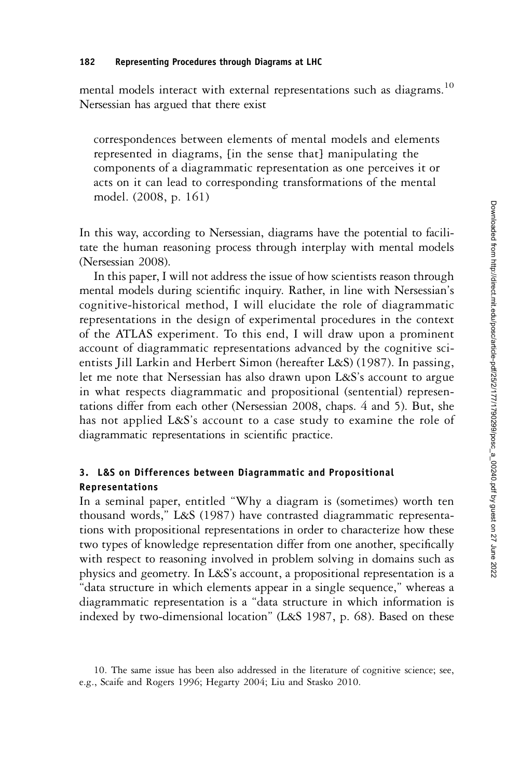mental models interact with external representations such as diagrams.<sup>10</sup> Nersessian has argued that there exist

correspondences between elements of mental models and elements represented in diagrams, [in the sense that] manipulating the components of a diagrammatic representation as one perceives it or acts on it can lead to corresponding transformations of the mental model. (2008, p. 161)

In this way, according to Nersessian, diagrams have the potential to facilitate the human reasoning process through interplay with mental models (Nersessian 2008).

In this paper, I will not address the issue of how scientists reason through mental models during scientific inquiry. Rather, in line with Nersessian's cognitive-historical method, I will elucidate the role of diagrammatic representations in the design of experimental procedures in the context of the ATLAS experiment. To this end, I will draw upon a prominent account of diagrammatic representations advanced by the cognitive scientists Jill Larkin and Herbert Simon (hereafter L&S) (1987). In passing, let me note that Nersessian has also drawn upon L&S's account to argue in what respects diagrammatic and propositional (sentential) representations differ from each other (Nersessian 2008, chaps. 4 and 5). But, she has not applied L&S's account to a case study to examine the role of diagrammatic representations in scientific practice.

# 3. L&S on Differences between Diagrammatic and Propositional Representations

In a seminal paper, entitled "Why a diagram is (sometimes) worth ten thousand words," L&S (1987) have contrasted diagrammatic representations with propositional representations in order to characterize how these two types of knowledge representation differ from one another, specifically with respect to reasoning involved in problem solving in domains such as physics and geometry. In L&S's account, a propositional representation is a "data structure in which elements appear in a single sequence," whereas a diagrammatic representation is a "data structure in which information is indexed by two-dimensional location" (L&S 1987, p. 68). Based on these

<sup>10.</sup> The same issue has been also addressed in the literature of cognitive science; see, e.g., Scaife and Rogers 1996; Hegarty 2004; Liu and Stasko 2010.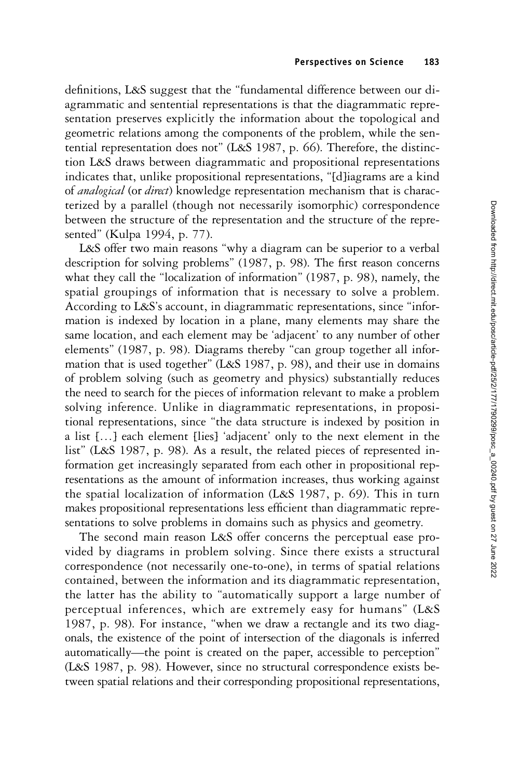definitions, L&S suggest that the "fundamental difference between our diagrammatic and sentential representations is that the diagrammatic representation preserves explicitly the information about the topological and geometric relations among the components of the problem, while the sentential representation does not" (L&S 1987, p. 66). Therefore, the distinction L&S draws between diagrammatic and propositional representations indicates that, unlike propositional representations, "[d]iagrams are a kind of *analogical* (or *direct*) knowledge representation mechanism that is characterized by a parallel (though not necessarily isomorphic) correspondence between the structure of the representation and the structure of the represented" (Kulpa 1994, p. 77).

L&S offer two main reasons "why a diagram can be superior to a verbal description for solving problems" (1987, p. 98). The first reason concerns what they call the "localization of information" (1987, p. 98), namely, the spatial groupings of information that is necessary to solve a problem. According to L&S's account, in diagrammatic representations, since "information is indexed by location in a plane, many elements may share the same location, and each element may be 'adjacent' to any number of other elements" (1987, p. 98). Diagrams thereby "can group together all information that is used together" (L&S 1987, p. 98), and their use in domains of problem solving (such as geometry and physics) substantially reduces the need to search for the pieces of information relevant to make a problem solving inference. Unlike in diagrammatic representations, in propositional representations, since "the data structure is indexed by position in a list […] each element [lies] 'adjacent' only to the next element in the list" (L&S 1987, p. 98). As a result, the related pieces of represented information get increasingly separated from each other in propositional representations as the amount of information increases, thus working against the spatial localization of information (L&S 1987, p. 69). This in turn makes propositional representations less efficient than diagrammatic representations to solve problems in domains such as physics and geometry.

The second main reason L&S offer concerns the perceptual ease provided by diagrams in problem solving. Since there exists a structural correspondence (not necessarily one-to-one), in terms of spatial relations contained, between the information and its diagrammatic representation, the latter has the ability to "automatically support a large number of perceptual inferences, which are extremely easy for humans" (L&S 1987, p. 98). For instance, "when we draw a rectangle and its two diagonals, the existence of the point of intersection of the diagonals is inferred automatically—the point is created on the paper, accessible to perception" (L&S 1987, p. 98). However, since no structural correspondence exists between spatial relations and their corresponding propositional representations,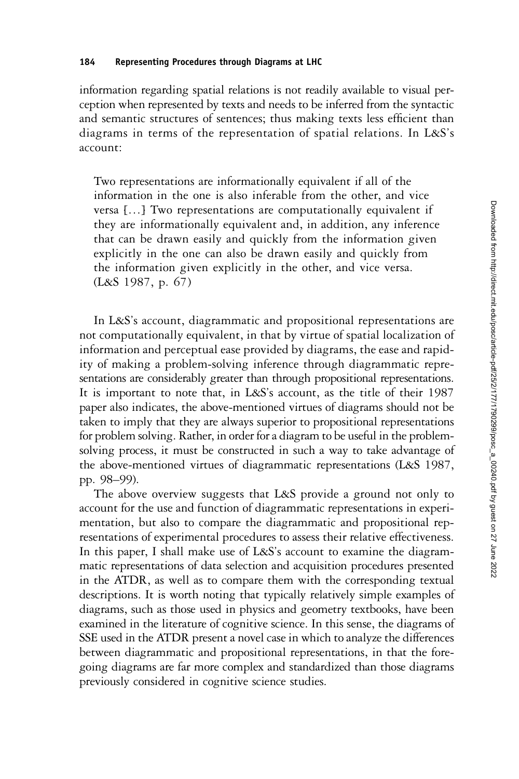#### 184 Representing Procedures through Diagrams at LHC

information regarding spatial relations is not readily available to visual perception when represented by texts and needs to be inferred from the syntactic and semantic structures of sentences; thus making texts less efficient than diagrams in terms of the representation of spatial relations. In L&S's account:

Two representations are informationally equivalent if all of the information in the one is also inferable from the other, and vice versa […] Two representations are computationally equivalent if they are informationally equivalent and, in addition, any inference that can be drawn easily and quickly from the information given explicitly in the one can also be drawn easily and quickly from the information given explicitly in the other, and vice versa. (L&S 1987, p. 67)

In L&S's account, diagrammatic and propositional representations are not computationally equivalent, in that by virtue of spatial localization of information and perceptual ease provided by diagrams, the ease and rapidity of making a problem-solving inference through diagrammatic representations are considerably greater than through propositional representations. It is important to note that, in L&S's account, as the title of their 1987 paper also indicates, the above-mentioned virtues of diagrams should not be taken to imply that they are always superior to propositional representations for problem solving. Rather, in order for a diagram to be useful in the problemsolving process, it must be constructed in such a way to take advantage of the above-mentioned virtues of diagrammatic representations (L&S 1987, pp. 98–99).

The above overview suggests that L&S provide a ground not only to account for the use and function of diagrammatic representations in experimentation, but also to compare the diagrammatic and propositional representations of experimental procedures to assess their relative effectiveness. In this paper, I shall make use of L&S's account to examine the diagrammatic representations of data selection and acquisition procedures presented in the ATDR, as well as to compare them with the corresponding textual descriptions. It is worth noting that typically relatively simple examples of diagrams, such as those used in physics and geometry textbooks, have been examined in the literature of cognitive science. In this sense, the diagrams of SSE used in the ATDR present a novel case in which to analyze the differences between diagrammatic and propositional representations, in that the foregoing diagrams are far more complex and standardized than those diagrams previously considered in cognitive science studies.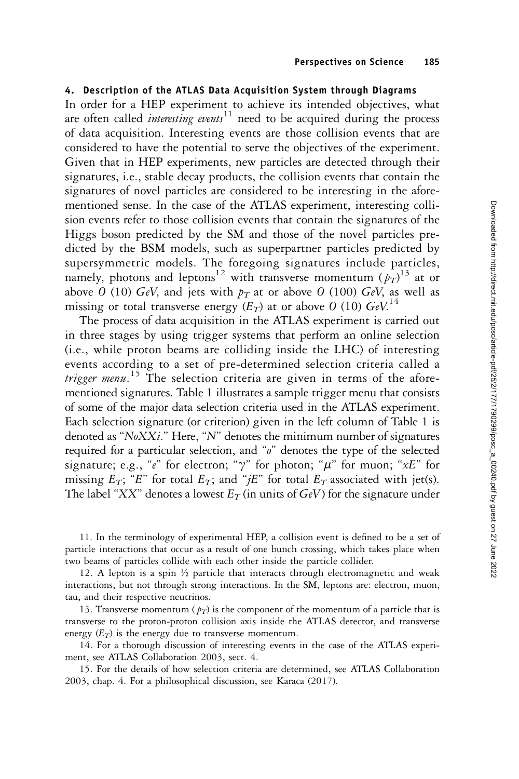## 4. Description of the ATLAS Data Acquisition System through Diagrams

In order for a HEP experiment to achieve its intended objectives, what are often called *interesting events*<sup>11</sup> need to be acquired during the process of data acquisition. Interesting events are those collision events that are considered to have the potential to serve the objectives of the experiment. Given that in HEP experiments, new particles are detected through their signatures, i.e., stable decay products, the collision events that contain the signatures of novel particles are considered to be interesting in the aforementioned sense. In the case of the ATLAS experiment, interesting collision events refer to those collision events that contain the signatures of the Higgs boson predicted by the SM and those of the novel particles predicted by the BSM models, such as superpartner particles predicted by supersymmetric models. The foregoing signatures include particles, namely, photons and leptons<sup>12</sup> with transverse momentum  $(p_T)^{13}$  at or above O (10) GeV, and jets with  $p_T$  at or above O (100) GeV, as well as missing or total transverse energy  $(E_T)$  at or above O (10)  $GeV^{14}$ 

The process of data acquisition in the ATLAS experiment is carried out in three stages by using trigger systems that perform an online selection (i.e., while proton beams are colliding inside the LHC) of interesting events according to a set of pre-determined selection criteria called a trigger menu.<sup>15</sup> The selection criteria are given in terms of the aforementioned signatures. Table 1 illustrates a sample trigger menu that consists of some of the major data selection criteria used in the ATLAS experiment. Each selection signature (or criterion) given in the left column of Table 1 is denoted as "NoXXi." Here, "N" denotes the minimum number of signatures required for a particular selection, and "o" denotes the type of the selected signature; e.g., "e" for electron; " $\gamma$ " for photon; " $\mu$ " for muon; " $xE$ " for missing  $E_T$ ; "E" for total  $E_T$ ; and "jE" for total  $E_T$  associated with jet(s). The label "XX" denotes a lowest  $E_T$  (in units of  $GeV$ ) for the signature under

11. In the terminology of experimental HEP, a collision event is defined to be a set of particle interactions that occur as a result of one bunch crossing, which takes place when two beams of particles collide with each other inside the particle collider.

12. A lepton is a spin  $\frac{1}{2}$  particle that interacts through electromagnetic and weak interactions, but not through strong interactions. In the SM, leptons are: electron, muon, tau, and their respective neutrinos.

13. Transverse momentum ( $p_T$ ) is the component of the momentum of a particle that is transverse to the proton-proton collision axis inside the ATLAS detector, and transverse energy  $(E_T)$  is the energy due to transverse momentum.

14. For a thorough discussion of interesting events in the case of the ATLAS experiment, see ATLAS Collaboration 2003, sect. 4.

15. For the details of how selection criteria are determined, see ATLAS Collaboration 2003, chap. 4. For a philosophical discussion, see Karaca (2017).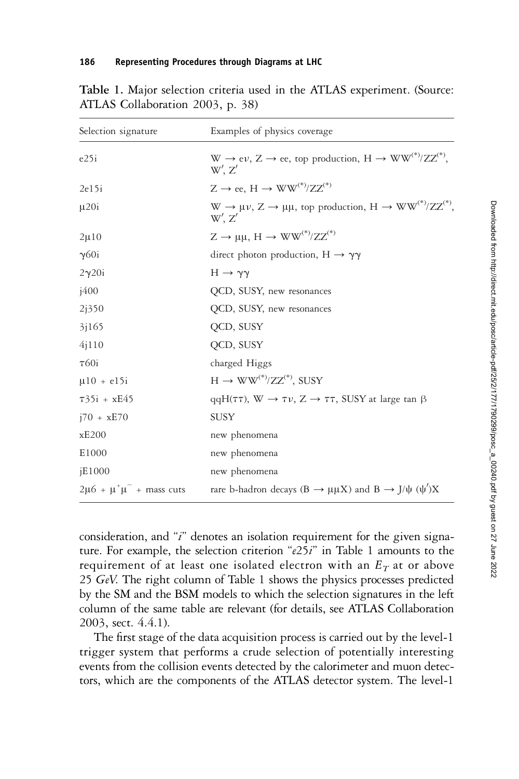| Selection signature                    | Examples of physics coverage                                                                   |
|----------------------------------------|------------------------------------------------------------------------------------------------|
| $e^{25i}$                              | $W \to e\nu$ , $Z \to ee$ , top production, $H \to WW^{(*)}/ZZ^{(*)}$ ,<br>$W'$ . $Z'$         |
| 2e15i                                  | $Z \rightarrow ee$ , $H \rightarrow WW^{(*)}/ZZ^{(*)}$                                         |
| $\mu$ 20i                              | $W \to \mu \nu$ , $Z \to \mu \mu$ , top production, $H \to WW^{(*)}/ZZ^{(*)}$ ,<br>$W'$ . $Z'$ |
| $2\mu10$                               | $Z \rightarrow \mu\mu$ , H $\rightarrow WW^{(*)}/ZZ^{(*)}$                                     |
| $\gamma$ 60i                           | direct photon production, $H \rightarrow \gamma \gamma$                                        |
| $2\gamma 20i$                          | $H \rightarrow \gamma \gamma$                                                                  |
| i400                                   | QCD, SUSY, new resonances                                                                      |
| 2i350                                  | QCD, SUSY, new resonances                                                                      |
| 3 <sub>1165</sub>                      | QCD, SUSY                                                                                      |
| 4j110                                  | QCD, SUSY                                                                                      |
| $\tau$ 60i                             | charged Higgs                                                                                  |
| $\mu$ 10 + e15i                        | $H \rightarrow WW^{(*)}/ZZ^{(*)}$ , SUSY                                                       |
| $735i + xE45$                          | $qqH(\tau\tau)$ , $W \to \tau \nu$ , $Z \to \tau\tau$ , SUSY at large tan $\beta$              |
| $i70 + xE70$                           | <b>SUSY</b>                                                                                    |
| xE200                                  | new phenomena                                                                                  |
| E1000                                  | new phenomena                                                                                  |
| iE1000                                 | new phenomena                                                                                  |
| $2\mu 6 + \mu^{+} \mu^{-}$ + mass cuts | rare b-hadron decays (B $\rightarrow \mu\mu X$ ) and B $\rightarrow J/\psi$ ( $\psi'$ )X       |

Table 1. Major selection criteria used in the ATLAS experiment. (Source: ATLAS Collaboration 2003, p. 38)

consideration, and "i" denotes an isolation requirement for the given signature. For example, the selection criterion " $e25i$ " in Table 1 amounts to the requirement of at least one isolated electron with an  $E_T$  at or above 25 GeV. The right column of Table 1 shows the physics processes predicted by the SM and the BSM models to which the selection signatures in the left column of the same table are relevant (for details, see ATLAS Collaboration 2003, sect. 4.4.1).

The first stage of the data acquisition process is carried out by the level-1 trigger system that performs a crude selection of potentially interesting events from the collision events detected by the calorimeter and muon detectors, which are the components of the ATLAS detector system. The level-1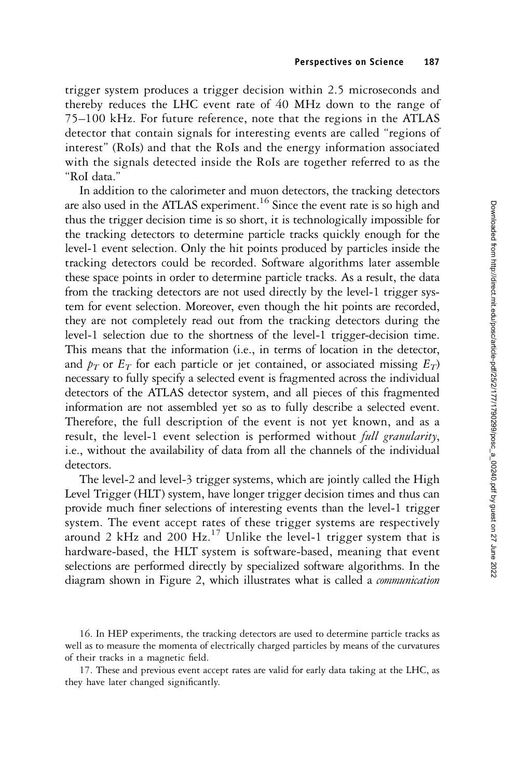trigger system produces a trigger decision within 2.5 microseconds and thereby reduces the LHC event rate of 40 MHz down to the range of 75–100 kHz. For future reference, note that the regions in the ATLAS detector that contain signals for interesting events are called "regions of interest" (RoIs) and that the RoIs and the energy information associated with the signals detected inside the RoIs are together referred to as the "RoI data."

In addition to the calorimeter and muon detectors, the tracking detectors are also used in the ATLAS experiment.<sup>16</sup> Since the event rate is so high and thus the trigger decision time is so short, it is technologically impossible for the tracking detectors to determine particle tracks quickly enough for the level-1 event selection. Only the hit points produced by particles inside the tracking detectors could be recorded. Software algorithms later assemble these space points in order to determine particle tracks. As a result, the data from the tracking detectors are not used directly by the level-1 trigger system for event selection. Moreover, even though the hit points are recorded, they are not completely read out from the tracking detectors during the level-1 selection due to the shortness of the level-1 trigger-decision time. This means that the information (i.e., in terms of location in the detector, and  $p_T$  or  $E_T$  for each particle or jet contained, or associated missing  $E_T$ ) necessary to fully specify a selected event is fragmented across the individual detectors of the ATLAS detector system, and all pieces of this fragmented information are not assembled yet so as to fully describe a selected event. Therefore, the full description of the event is not yet known, and as a result, the level-1 event selection is performed without *full granularity*, i.e., without the availability of data from all the channels of the individual detectors.

The level-2 and level-3 trigger systems, which are jointly called the High Level Trigger (HLT) system, have longer trigger decision times and thus can provide much finer selections of interesting events than the level-1 trigger system. The event accept rates of these trigger systems are respectively around 2 kHz and 200  $\text{Hz}$ .<sup>17</sup> Unlike the level-1 trigger system that is hardware-based, the HLT system is software-based, meaning that event selections are performed directly by specialized software algorithms. In the diagram shown in Figure 2, which illustrates what is called a communication

<sup>16.</sup> In HEP experiments, the tracking detectors are used to determine particle tracks as well as to measure the momenta of electrically charged particles by means of the curvatures of their tracks in a magnetic field.

<sup>17.</sup> These and previous event accept rates are valid for early data taking at the LHC, as they have later changed significantly.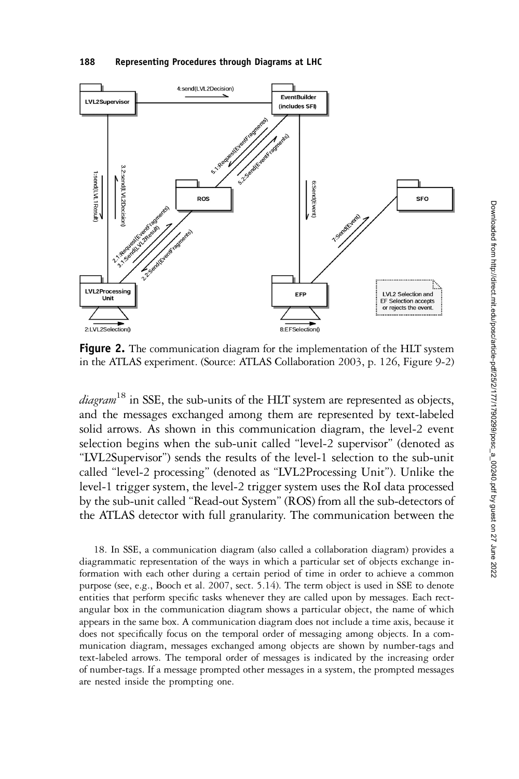#### 188 Representing Procedures through Diagrams at LHC



Figure 2. The communication diagram for the implementation of the HLT system in the ATLAS experiment. (Source: ATLAS Collaboration 2003, p. 126, Figure 9-2)

 $diagram$ <sup>18</sup> in SSE, the sub-units of the HLT system are represented as objects, and the messages exchanged among them are represented by text-labeled solid arrows. As shown in this communication diagram, the level-2 event selection begins when the sub-unit called "level-2 supervisor" (denoted as "LVL2Supervisor") sends the results of the level-1 selection to the sub-unit called "level-2 processing" (denoted as "LVL2Processing Unit"). Unlike the level-1 trigger system, the level-2 trigger system uses the RoI data processed by the sub-unit called "Read-out System" (ROS) from all the sub-detectors of the ATLAS detector with full granularity. The communication between the

18. In SSE, a communication diagram (also called a collaboration diagram) provides a diagrammatic representation of the ways in which a particular set of objects exchange information with each other during a certain period of time in order to achieve a common purpose (see, e.g., Booch et al. 2007, sect. 5.14). The term object is used in SSE to denote entities that perform specific tasks whenever they are called upon by messages. Each rectangular box in the communication diagram shows a particular object, the name of which appears in the same box. A communication diagram does not include a time axis, because it does not specifically focus on the temporal order of messaging among objects. In a communication diagram, messages exchanged among objects are shown by number-tags and text-labeled arrows. The temporal order of messages is indicated by the increasing order of number-tags. If a message prompted other messages in a system, the prompted messages are nested inside the prompting one.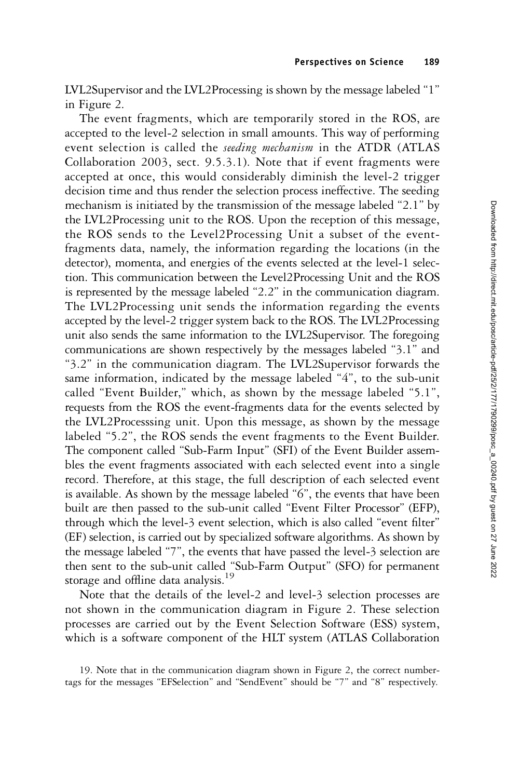LVL2Supervisor and the LVL2Processing is shown by the message labeled "1" in Figure 2.

The event fragments, which are temporarily stored in the ROS, are accepted to the level-2 selection in small amounts. This way of performing event selection is called the *seeding mechanism* in the ATDR (ATLAS Collaboration 2003, sect. 9.5.3.1). Note that if event fragments were accepted at once, this would considerably diminish the level-2 trigger decision time and thus render the selection process ineffective. The seeding mechanism is initiated by the transmission of the message labeled "2.1" by the LVL2Processing unit to the ROS. Upon the reception of this message, the ROS sends to the Level2Processing Unit a subset of the eventfragments data, namely, the information regarding the locations (in the detector), momenta, and energies of the events selected at the level-1 selection. This communication between the Level2Processing Unit and the ROS is represented by the message labeled "2.2" in the communication diagram. The LVL2Processing unit sends the information regarding the events accepted by the level-2 trigger system back to the ROS. The LVL2Processing unit also sends the same information to the LVL2Supervisor. The foregoing communications are shown respectively by the messages labeled "3.1" and "3.2" in the communication diagram. The LVL2Supervisor forwards the same information, indicated by the message labeled "4", to the sub-unit called "Event Builder," which, as shown by the message labeled "5.1", requests from the ROS the event-fragments data for the events selected by the LVL2Processsing unit. Upon this message, as shown by the message labeled "5.2", the ROS sends the event fragments to the Event Builder. The component called "Sub-Farm Input" (SFI) of the Event Builder assembles the event fragments associated with each selected event into a single record. Therefore, at this stage, the full description of each selected event is available. As shown by the message labeled "6", the events that have been built are then passed to the sub-unit called "Event Filter Processor" (EFP), through which the level-3 event selection, which is also called "event filter" (EF) selection, is carried out by specialized software algorithms. As shown by the message labeled "7", the events that have passed the level-3 selection are then sent to the sub-unit called "Sub-Farm Output" (SFO) for permanent storage and offline data analysis.<sup>19</sup>

Note that the details of the level-2 and level-3 selection processes are not shown in the communication diagram in Figure 2. These selection processes are carried out by the Event Selection Software (ESS) system, which is a software component of the HLT system (ATLAS Collaboration

<sup>19.</sup> Note that in the communication diagram shown in Figure 2, the correct numbertags for the messages "EFSelection" and "SendEvent" should be "7" and "8" respectively.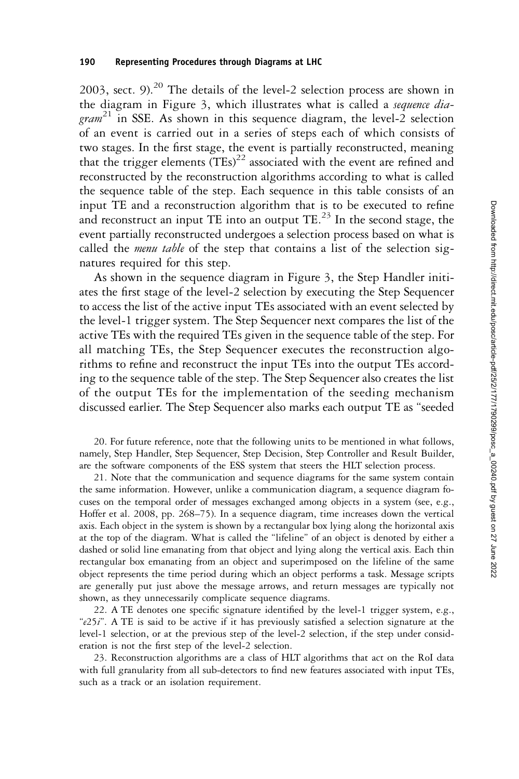2003, sect. 9). $^{20}$  The details of the level-2 selection process are shown in the diagram in Figure 3, which illustrates what is called a sequence dia- $\gamma$  gram<sup>21</sup> in SSE. As shown in this sequence diagram, the level-2 selection of an event is carried out in a series of steps each of which consists of two stages. In the first stage, the event is partially reconstructed, meaning that the trigger elements  $(TEs)^{22}$  associated with the event are refined and reconstructed by the reconstruction algorithms according to what is called the sequence table of the step. Each sequence in this table consists of an input TE and a reconstruction algorithm that is to be executed to refine and reconstruct an input TE into an output TE. $^{23}$  In the second stage, the event partially reconstructed undergoes a selection process based on what is called the *menu table* of the step that contains a list of the selection signatures required for this step.

As shown in the sequence diagram in Figure 3, the Step Handler initiates the first stage of the level-2 selection by executing the Step Sequencer to access the list of the active input TEs associated with an event selected by the level-1 trigger system. The Step Sequencer next compares the list of the active TEs with the required TEs given in the sequence table of the step. For all matching TEs, the Step Sequencer executes the reconstruction algorithms to refine and reconstruct the input TEs into the output TEs according to the sequence table of the step. The Step Sequencer also creates the list of the output TEs for the implementation of the seeding mechanism discussed earlier. The Step Sequencer also marks each output TE as "seeded

20. For future reference, note that the following units to be mentioned in what follows, namely, Step Handler, Step Sequencer, Step Decision, Step Controller and Result Builder, are the software components of the ESS system that steers the HLT selection process.

21. Note that the communication and sequence diagrams for the same system contain the same information. However, unlike a communication diagram, a sequence diagram focuses on the temporal order of messages exchanged among objects in a system (see, e.g., Hoffer et al. 2008, pp. 268–75). In a sequence diagram, time increases down the vertical axis. Each object in the system is shown by a rectangular box lying along the horizontal axis at the top of the diagram. What is called the "lifeline" of an object is denoted by either a dashed or solid line emanating from that object and lying along the vertical axis. Each thin rectangular box emanating from an object and superimposed on the lifeline of the same object represents the time period during which an object performs a task. Message scripts are generally put just above the message arrows, and return messages are typically not shown, as they unnecessarily complicate sequence diagrams.

22. A TE denotes one specific signature identified by the level-1 trigger system, e.g., "e25i". A TE is said to be active if it has previously satisfied a selection signature at the level-1 selection, or at the previous step of the level-2 selection, if the step under consideration is not the first step of the level-2 selection.

23. Reconstruction algorithms are a class of HLT algorithms that act on the RoI data with full granularity from all sub-detectors to find new features associated with input TEs, such as a track or an isolation requirement.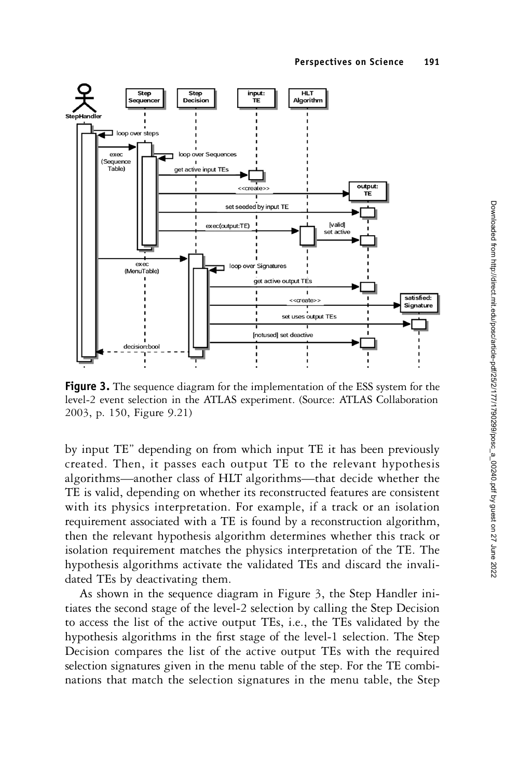

**Figure 3.** The sequence diagram for the implementation of the ESS system for the level-2 event selection in the ATLAS experiment. (Source: ATLAS Collaboration 2003, p. 150, Figure 9.21)

by input TE" depending on from which input TE it has been previously created. Then, it passes each output TE to the relevant hypothesis algorithms—another class of HLT algorithms—that decide whether the TE is valid, depending on whether its reconstructed features are consistent with its physics interpretation. For example, if a track or an isolation requirement associated with a TE is found by a reconstruction algorithm, then the relevant hypothesis algorithm determines whether this track or isolation requirement matches the physics interpretation of the TE. The hypothesis algorithms activate the validated TEs and discard the invalidated TEs by deactivating them.

As shown in the sequence diagram in Figure 3, the Step Handler initiates the second stage of the level-2 selection by calling the Step Decision to access the list of the active output TEs, i.e., the TEs validated by the hypothesis algorithms in the first stage of the level-1 selection. The Step Decision compares the list of the active output TEs with the required selection signatures given in the menu table of the step. For the TE combinations that match the selection signatures in the menu table, the Step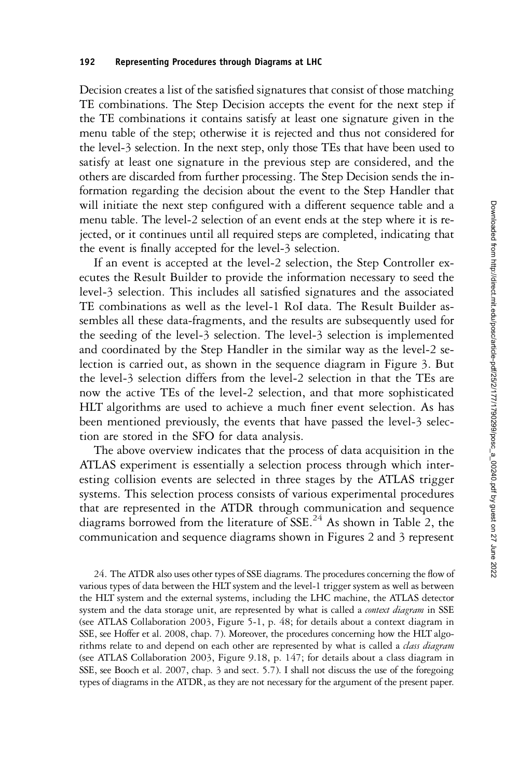Decision creates a list of the satisfied signatures that consist of those matching TE combinations. The Step Decision accepts the event for the next step if the TE combinations it contains satisfy at least one signature given in the menu table of the step; otherwise it is rejected and thus not considered for the level-3 selection. In the next step, only those TEs that have been used to satisfy at least one signature in the previous step are considered, and the others are discarded from further processing. The Step Decision sends the information regarding the decision about the event to the Step Handler that will initiate the next step configured with a different sequence table and a menu table. The level-2 selection of an event ends at the step where it is rejected, or it continues until all required steps are completed, indicating that the event is finally accepted for the level-3 selection.

If an event is accepted at the level-2 selection, the Step Controller executes the Result Builder to provide the information necessary to seed the level-3 selection. This includes all satisfied signatures and the associated TE combinations as well as the level-1 RoI data. The Result Builder assembles all these data-fragments, and the results are subsequently used for the seeding of the level-3 selection. The level-3 selection is implemented and coordinated by the Step Handler in the similar way as the level-2 selection is carried out, as shown in the sequence diagram in Figure 3. But the level-3 selection differs from the level-2 selection in that the TEs are now the active TEs of the level-2 selection, and that more sophisticated HLT algorithms are used to achieve a much finer event selection. As has been mentioned previously, the events that have passed the level-3 selection are stored in the SFO for data analysis.

The above overview indicates that the process of data acquisition in the ATLAS experiment is essentially a selection process through which interesting collision events are selected in three stages by the ATLAS trigger systems. This selection process consists of various experimental procedures that are represented in the ATDR through communication and sequence diagrams borrowed from the literature of SSE.<sup>24</sup> As shown in Table 2, the communication and sequence diagrams shown in Figures 2 and 3 represent

24. The ATDR also uses other types of SSE diagrams. The procedures concerning the flow of various types of data between the HLT system and the level-1 trigger system as well as between the HLT system and the external systems, including the LHC machine, the ATLAS detector system and the data storage unit, are represented by what is called a *context diagram* in SSE (see ATLAS Collaboration 2003, Figure 5-1, p. 48; for details about a context diagram in SSE, see Hoffer et al. 2008, chap. 7). Moreover, the procedures concerning how the HLT algorithms relate to and depend on each other are represented by what is called a *class diagram* (see ATLAS Collaboration 2003, Figure 9.18, p. 147; for details about a class diagram in SSE, see Booch et al. 2007, chap. 3 and sect. 5.7). I shall not discuss the use of the foregoing types of diagrams in the ATDR, as they are not necessary for the argument of the present paper.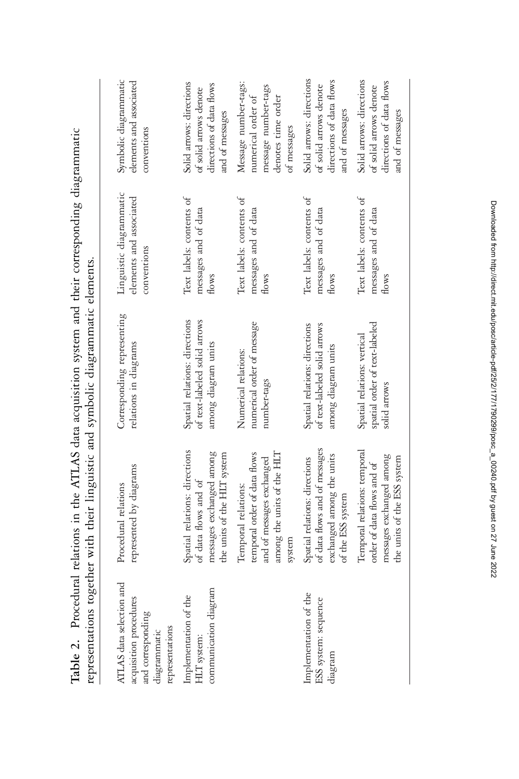| ATLAS data selection and<br>acquisition procedures<br>and corresponding<br>representations<br>diagrammatic | represented by diagrams<br>Procedural relations                                                                          | Corresponding representing<br>relations in diagrams                                  | Linguistic diagrammatic<br>elements and associated<br>conventions | Symbolic diagrammatic<br>elements and associated<br>conventions                                        |
|------------------------------------------------------------------------------------------------------------|--------------------------------------------------------------------------------------------------------------------------|--------------------------------------------------------------------------------------|-------------------------------------------------------------------|--------------------------------------------------------------------------------------------------------|
| communication diagram<br>Implementation of the<br>HLT system:                                              | Spatial relations: directions<br>messages exchanged among<br>the units of the HLT system<br>of data flows and of         | Spatial relations: directions<br>of text-labeled solid arrows<br>among diagram units | Text labels: contents of<br>messages and of data<br>flows         | Solid arrows: directions<br>directions of data flows<br>of solid arrows denote<br>and of messages      |
|                                                                                                            | temporal order of data flows<br>among the units of the HLT<br>and of messages exchanged<br>Temporal relations:<br>system | numerical order of message<br>Numerical relations:<br>number-tags                    | Text labels: contents of<br>messages and of data<br>flows         | Message number-tags:<br>message number-tags<br>numerical order of<br>denotes time order<br>of messages |
| Implementation of the<br>ESS system: sequence<br>diagram                                                   | of data flows and of messages<br>exchanged among the units<br>Spatial relations: directions<br>of the ESS system         | Spatial relations: directions<br>of text-labeled solid arrows<br>among diagram units | Text labels: contents of<br>messages and of data<br>flows         | Solid arrows: directions<br>directions of data flows<br>of solid arrows denote<br>and of messages      |
|                                                                                                            | Temporal relations: temporal<br>messages exchanged among<br>the units of the ESS system<br>order of data flows and of    | spatial order of text-labeled<br>Spatial relations: vertical<br>solid arrows         | Text labels: contents of<br>messages and of data<br>flows         | Solid arrows: directions<br>directions of data flows<br>of solid arrows denote<br>and of messages      |

Table 2. Procedural relations in the ATLAS data acquisition system and their corresponding diagrammatic Table 2. Procedural relations in the ATLAS data acquisition system and their corresponding diagrammatic representations together with their linguistic and symbolic diagrammatic elements. representations together with their linguistic and symbolic diagrammatic elements.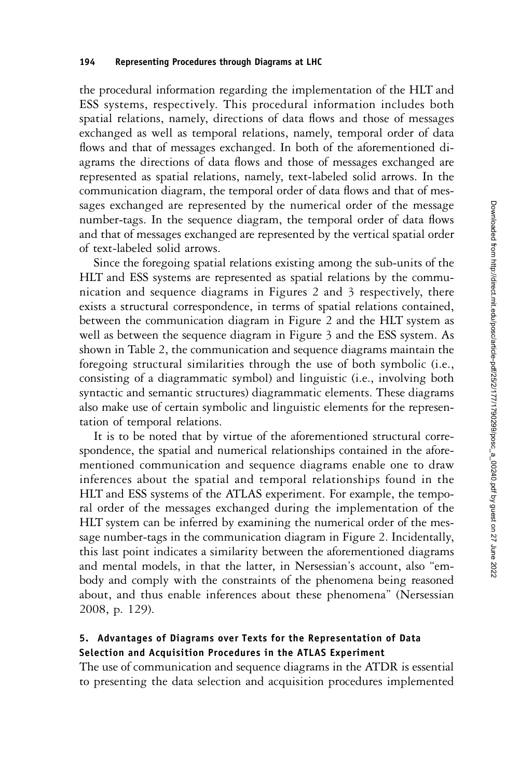the procedural information regarding the implementation of the HLT and ESS systems, respectively. This procedural information includes both spatial relations, namely, directions of data flows and those of messages exchanged as well as temporal relations, namely, temporal order of data flows and that of messages exchanged. In both of the aforementioned diagrams the directions of data flows and those of messages exchanged are represented as spatial relations, namely, text-labeled solid arrows. In the communication diagram, the temporal order of data flows and that of messages exchanged are represented by the numerical order of the message number-tags. In the sequence diagram, the temporal order of data flows and that of messages exchanged are represented by the vertical spatial order of text-labeled solid arrows.

Since the foregoing spatial relations existing among the sub-units of the HLT and ESS systems are represented as spatial relations by the communication and sequence diagrams in Figures 2 and 3 respectively, there exists a structural correspondence, in terms of spatial relations contained, between the communication diagram in Figure 2 and the HLT system as well as between the sequence diagram in Figure 3 and the ESS system. As shown in Table 2, the communication and sequence diagrams maintain the foregoing structural similarities through the use of both symbolic (i.e., consisting of a diagrammatic symbol) and linguistic (i.e., involving both syntactic and semantic structures) diagrammatic elements. These diagrams also make use of certain symbolic and linguistic elements for the representation of temporal relations.

It is to be noted that by virtue of the aforementioned structural correspondence, the spatial and numerical relationships contained in the aforementioned communication and sequence diagrams enable one to draw inferences about the spatial and temporal relationships found in the HLT and ESS systems of the ATLAS experiment. For example, the temporal order of the messages exchanged during the implementation of the HLT system can be inferred by examining the numerical order of the message number-tags in the communication diagram in Figure 2. Incidentally, this last point indicates a similarity between the aforementioned diagrams and mental models, in that the latter, in Nersessian's account, also "embody and comply with the constraints of the phenomena being reasoned about, and thus enable inferences about these phenomena" (Nersessian 2008, p. 129).

# 5. Advantages of Diagrams over Texts for the Representation of Data Selection and Acquisition Procedures in the ATLAS Experiment

The use of communication and sequence diagrams in the ATDR is essential to presenting the data selection and acquisition procedures implemented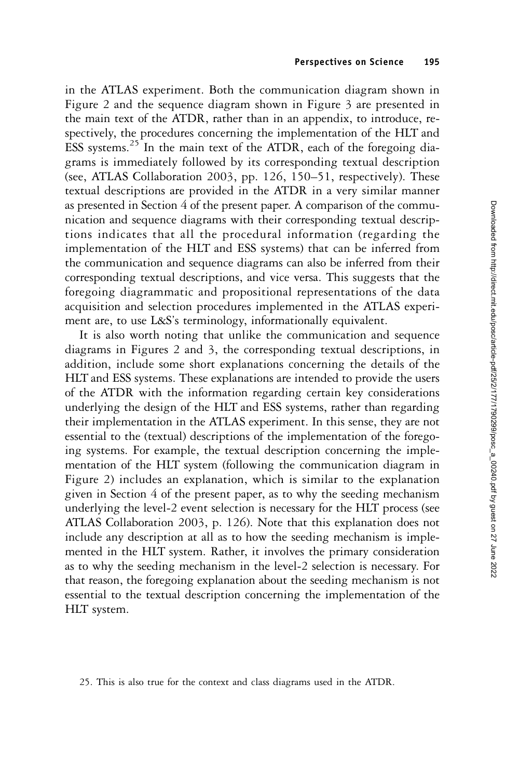in the ATLAS experiment. Both the communication diagram shown in Figure 2 and the sequence diagram shown in Figure 3 are presented in the main text of the ATDR, rather than in an appendix, to introduce, respectively, the procedures concerning the implementation of the HLT and ESS systems. $25$  In the main text of the ATDR, each of the foregoing diagrams is immediately followed by its corresponding textual description (see, ATLAS Collaboration 2003, pp. 126, 150–51, respectively). These textual descriptions are provided in the ATDR in a very similar manner as presented in Section 4 of the present paper. A comparison of the communication and sequence diagrams with their corresponding textual descriptions indicates that all the procedural information (regarding the implementation of the HLT and ESS systems) that can be inferred from the communication and sequence diagrams can also be inferred from their corresponding textual descriptions, and vice versa. This suggests that the foregoing diagrammatic and propositional representations of the data acquisition and selection procedures implemented in the ATLAS experiment are, to use L&S's terminology, informationally equivalent.

It is also worth noting that unlike the communication and sequence diagrams in Figures 2 and 3, the corresponding textual descriptions, in addition, include some short explanations concerning the details of the HLT and ESS systems. These explanations are intended to provide the users of the ATDR with the information regarding certain key considerations underlying the design of the HLT and ESS systems, rather than regarding their implementation in the ATLAS experiment. In this sense, they are not essential to the (textual) descriptions of the implementation of the foregoing systems. For example, the textual description concerning the implementation of the HLT system (following the communication diagram in Figure 2) includes an explanation, which is similar to the explanation given in Section 4 of the present paper, as to why the seeding mechanism underlying the level-2 event selection is necessary for the HLT process (see ATLAS Collaboration 2003, p. 126). Note that this explanation does not include any description at all as to how the seeding mechanism is implemented in the HLT system. Rather, it involves the primary consideration as to why the seeding mechanism in the level-2 selection is necessary. For that reason, the foregoing explanation about the seeding mechanism is not essential to the textual description concerning the implementation of the HLT system.

<sup>25.</sup> This is also true for the context and class diagrams used in the ATDR.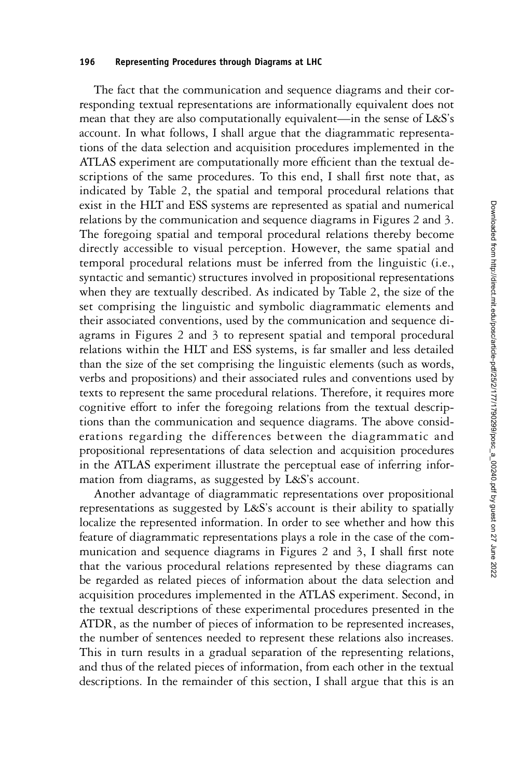#### 196 Representing Procedures through Diagrams at LHC

The fact that the communication and sequence diagrams and their corresponding textual representations are informationally equivalent does not mean that they are also computationally equivalent—in the sense of L&S's account. In what follows, I shall argue that the diagrammatic representations of the data selection and acquisition procedures implemented in the ATLAS experiment are computationally more efficient than the textual descriptions of the same procedures. To this end, I shall first note that, as indicated by Table 2, the spatial and temporal procedural relations that exist in the HLT and ESS systems are represented as spatial and numerical relations by the communication and sequence diagrams in Figures 2 and 3. The foregoing spatial and temporal procedural relations thereby become directly accessible to visual perception. However, the same spatial and temporal procedural relations must be inferred from the linguistic (i.e., syntactic and semantic) structures involved in propositional representations when they are textually described. As indicated by Table 2, the size of the set comprising the linguistic and symbolic diagrammatic elements and their associated conventions, used by the communication and sequence diagrams in Figures 2 and 3 to represent spatial and temporal procedural relations within the HLT and ESS systems, is far smaller and less detailed than the size of the set comprising the linguistic elements (such as words, verbs and propositions) and their associated rules and conventions used by texts to represent the same procedural relations. Therefore, it requires more cognitive effort to infer the foregoing relations from the textual descriptions than the communication and sequence diagrams. The above considerations regarding the differences between the diagrammatic and propositional representations of data selection and acquisition procedures in the ATLAS experiment illustrate the perceptual ease of inferring information from diagrams, as suggested by L&S's account.

Another advantage of diagrammatic representations over propositional representations as suggested by L&S's account is their ability to spatially localize the represented information. In order to see whether and how this feature of diagrammatic representations plays a role in the case of the communication and sequence diagrams in Figures 2 and 3, I shall first note that the various procedural relations represented by these diagrams can be regarded as related pieces of information about the data selection and acquisition procedures implemented in the ATLAS experiment. Second, in the textual descriptions of these experimental procedures presented in the ATDR, as the number of pieces of information to be represented increases, the number of sentences needed to represent these relations also increases. This in turn results in a gradual separation of the representing relations, and thus of the related pieces of information, from each other in the textual descriptions. In the remainder of this section, I shall argue that this is an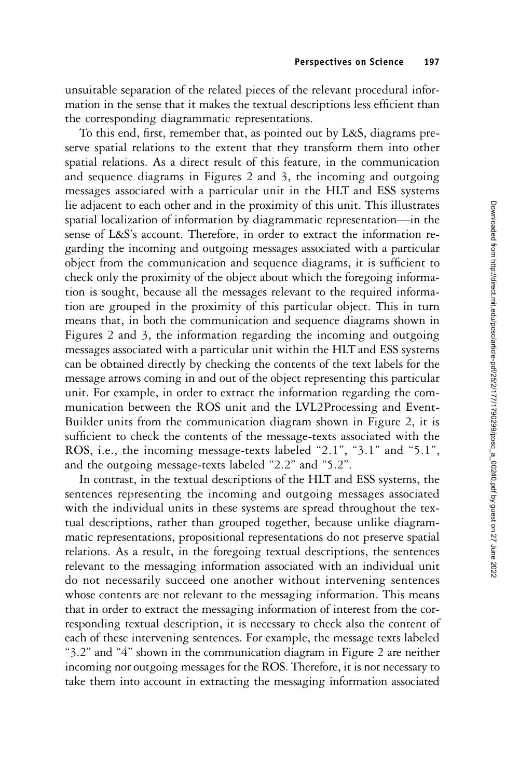unsuitable separation of the related pieces of the relevant procedural information in the sense that it makes the textual descriptions less efficient than the corresponding diagrammatic representations.

To this end, first, remember that, as pointed out by L&S, diagrams preserve spatial relations to the extent that they transform them into other spatial relations. As a direct result of this feature, in the communication and sequence diagrams in Figures 2 and 3, the incoming and outgoing messages associated with a particular unit in the HLT and ESS systems lie adjacent to each other and in the proximity of this unit. This illustrates spatial localization of information by diagrammatic representation—in the sense of L&S's account. Therefore, in order to extract the information regarding the incoming and outgoing messages associated with a particular object from the communication and sequence diagrams, it is sufficient to check only the proximity of the object about which the foregoing information is sought, because all the messages relevant to the required information are grouped in the proximity of this particular object. This in turn means that, in both the communication and sequence diagrams shown in Figures 2 and 3, the information regarding the incoming and outgoing messages associated with a particular unit within the HLT and ESS systems can be obtained directly by checking the contents of the text labels for the message arrows coming in and out of the object representing this particular unit. For example, in order to extract the information regarding the communication between the ROS unit and the LVL2Processing and Event-Builder units from the communication diagram shown in Figure 2, it is sufficient to check the contents of the message-texts associated with the ROS, i.e., the incoming message-texts labeled "2.1", "3.1" and "5.1", and the outgoing message-texts labeled "2.2" and "5.2".

In contrast, in the textual descriptions of the HLT and ESS systems, the sentences representing the incoming and outgoing messages associated with the individual units in these systems are spread throughout the textual descriptions, rather than grouped together, because unlike diagrammatic representations, propositional representations do not preserve spatial relations. As a result, in the foregoing textual descriptions, the sentences relevant to the messaging information associated with an individual unit do not necessarily succeed one another without intervening sentences whose contents are not relevant to the messaging information. This means that in order to extract the messaging information of interest from the corresponding textual description, it is necessary to check also the content of each of these intervening sentences. For example, the message texts labeled "3.2" and "4" shown in the communication diagram in Figure 2 are neither incoming nor outgoing messages for the ROS. Therefore, it is not necessary to take them into account in extracting the messaging information associated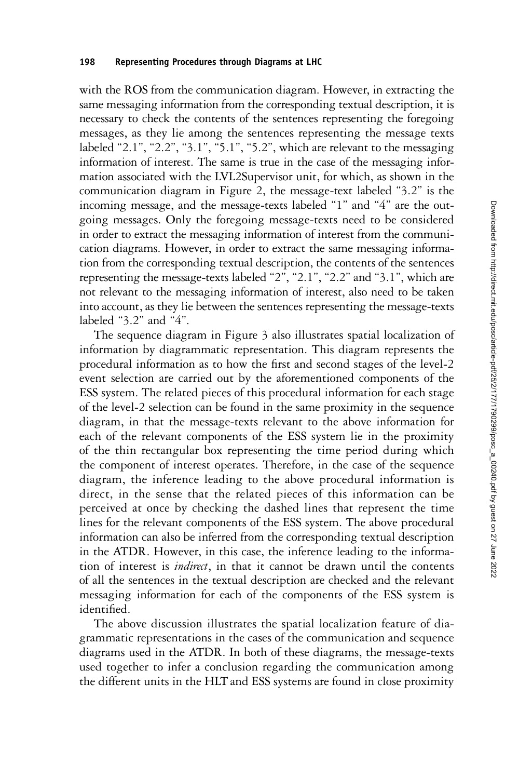with the ROS from the communication diagram. However, in extracting the same messaging information from the corresponding textual description, it is necessary to check the contents of the sentences representing the foregoing messages, as they lie among the sentences representing the message texts labeled "2.1", "2.2", "3.1", "5.1", "5.2", which are relevant to the messaging information of interest. The same is true in the case of the messaging information associated with the LVL2Supervisor unit, for which, as shown in the communication diagram in Figure 2, the message-text labeled "3.2" is the incoming message, and the message-texts labeled "1" and "4" are the outgoing messages. Only the foregoing message-texts need to be considered in order to extract the messaging information of interest from the communication diagrams. However, in order to extract the same messaging information from the corresponding textual description, the contents of the sentences representing the message-texts labeled "2", "2.1", "2.2" and "3.1", which are not relevant to the messaging information of interest, also need to be taken into account, as they lie between the sentences representing the message-texts labeled "3.2" and "4".

The sequence diagram in Figure 3 also illustrates spatial localization of information by diagrammatic representation. This diagram represents the procedural information as to how the first and second stages of the level-2 event selection are carried out by the aforementioned components of the ESS system. The related pieces of this procedural information for each stage of the level-2 selection can be found in the same proximity in the sequence diagram, in that the message-texts relevant to the above information for each of the relevant components of the ESS system lie in the proximity of the thin rectangular box representing the time period during which the component of interest operates. Therefore, in the case of the sequence diagram, the inference leading to the above procedural information is direct, in the sense that the related pieces of this information can be perceived at once by checking the dashed lines that represent the time lines for the relevant components of the ESS system. The above procedural information can also be inferred from the corresponding textual description in the ATDR. However, in this case, the inference leading to the information of interest is indirect, in that it cannot be drawn until the contents of all the sentences in the textual description are checked and the relevant messaging information for each of the components of the ESS system is identified.

The above discussion illustrates the spatial localization feature of diagrammatic representations in the cases of the communication and sequence diagrams used in the ATDR. In both of these diagrams, the message-texts used together to infer a conclusion regarding the communication among the different units in the HLT and ESS systems are found in close proximity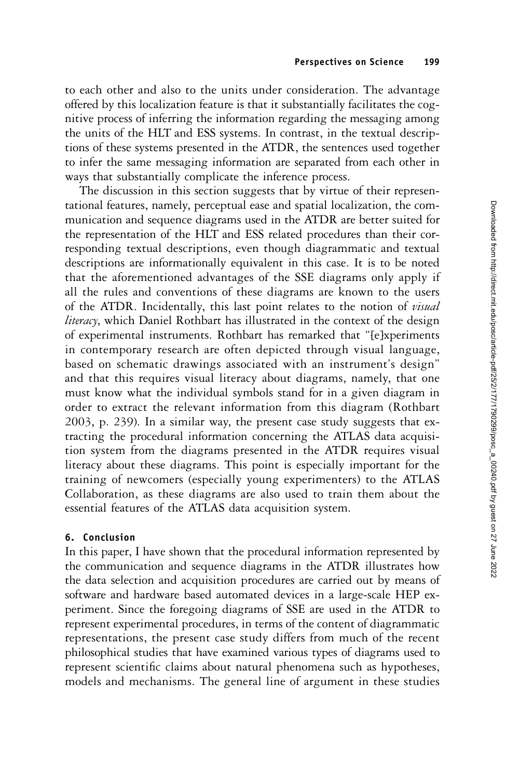to each other and also to the units under consideration. The advantage offered by this localization feature is that it substantially facilitates the cognitive process of inferring the information regarding the messaging among the units of the HLT and ESS systems. In contrast, in the textual descriptions of these systems presented in the ATDR, the sentences used together to infer the same messaging information are separated from each other in ways that substantially complicate the inference process.

The discussion in this section suggests that by virtue of their representational features, namely, perceptual ease and spatial localization, the communication and sequence diagrams used in the ATDR are better suited for the representation of the HLT and ESS related procedures than their corresponding textual descriptions, even though diagrammatic and textual descriptions are informationally equivalent in this case. It is to be noted that the aforementioned advantages of the SSE diagrams only apply if all the rules and conventions of these diagrams are known to the users of the ATDR. Incidentally, this last point relates to the notion of visual literacy, which Daniel Rothbart has illustrated in the context of the design of experimental instruments. Rothbart has remarked that "[e]xperiments in contemporary research are often depicted through visual language, based on schematic drawings associated with an instrument's design" and that this requires visual literacy about diagrams, namely, that one must know what the individual symbols stand for in a given diagram in order to extract the relevant information from this diagram (Rothbart 2003, p. 239). In a similar way, the present case study suggests that extracting the procedural information concerning the ATLAS data acquisition system from the diagrams presented in the ATDR requires visual literacy about these diagrams. This point is especially important for the training of newcomers (especially young experimenters) to the ATLAS Collaboration, as these diagrams are also used to train them about the essential features of the ATLAS data acquisition system.

# 6. Conclusion

In this paper, I have shown that the procedural information represented by the communication and sequence diagrams in the ATDR illustrates how the data selection and acquisition procedures are carried out by means of software and hardware based automated devices in a large-scale HEP experiment. Since the foregoing diagrams of SSE are used in the ATDR to represent experimental procedures, in terms of the content of diagrammatic representations, the present case study differs from much of the recent philosophical studies that have examined various types of diagrams used to represent scientific claims about natural phenomena such as hypotheses, models and mechanisms. The general line of argument in these studies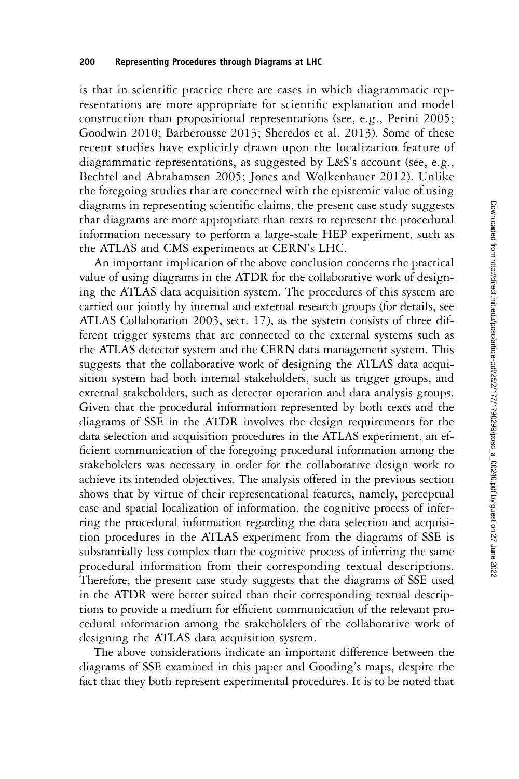### 200 Representing Procedures through Diagrams at LHC

is that in scientific practice there are cases in which diagrammatic representations are more appropriate for scientific explanation and model construction than propositional representations (see, e.g., Perini 2005; Goodwin 2010; Barberousse 2013; Sheredos et al. 2013). Some of these recent studies have explicitly drawn upon the localization feature of diagrammatic representations, as suggested by L&S's account (see, e.g., Bechtel and Abrahamsen 2005; Jones and Wolkenhauer 2012). Unlike the foregoing studies that are concerned with the epistemic value of using diagrams in representing scientific claims, the present case study suggests that diagrams are more appropriate than texts to represent the procedural information necessary to perform a large-scale HEP experiment, such as the ATLAS and CMS experiments at CERN's LHC.

An important implication of the above conclusion concerns the practical value of using diagrams in the ATDR for the collaborative work of designing the ATLAS data acquisition system. The procedures of this system are carried out jointly by internal and external research groups (for details, see ATLAS Collaboration 2003, sect. 17), as the system consists of three different trigger systems that are connected to the external systems such as the ATLAS detector system and the CERN data management system. This suggests that the collaborative work of designing the ATLAS data acquisition system had both internal stakeholders, such as trigger groups, and external stakeholders, such as detector operation and data analysis groups. Given that the procedural information represented by both texts and the diagrams of SSE in the ATDR involves the design requirements for the data selection and acquisition procedures in the ATLAS experiment, an efficient communication of the foregoing procedural information among the stakeholders was necessary in order for the collaborative design work to achieve its intended objectives. The analysis offered in the previous section shows that by virtue of their representational features, namely, perceptual ease and spatial localization of information, the cognitive process of inferring the procedural information regarding the data selection and acquisition procedures in the ATLAS experiment from the diagrams of SSE is substantially less complex than the cognitive process of inferring the same procedural information from their corresponding textual descriptions. Therefore, the present case study suggests that the diagrams of SSE used in the ATDR were better suited than their corresponding textual descriptions to provide a medium for efficient communication of the relevant procedural information among the stakeholders of the collaborative work of designing the ATLAS data acquisition system.

The above considerations indicate an important difference between the diagrams of SSE examined in this paper and Gooding's maps, despite the fact that they both represent experimental procedures. It is to be noted that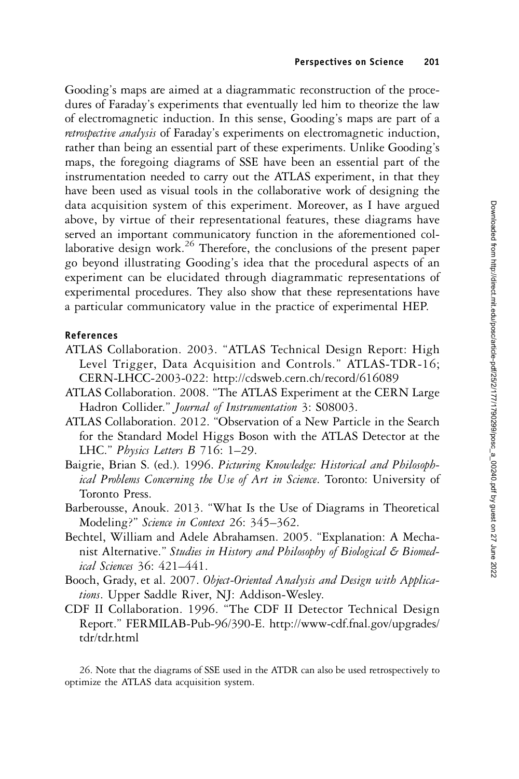Gooding's maps are aimed at a diagrammatic reconstruction of the procedures of Faraday's experiments that eventually led him to theorize the law of electromagnetic induction. In this sense, Gooding's maps are part of a retrospective analysis of Faraday's experiments on electromagnetic induction, rather than being an essential part of these experiments. Unlike Gooding's maps, the foregoing diagrams of SSE have been an essential part of the instrumentation needed to carry out the ATLAS experiment, in that they have been used as visual tools in the collaborative work of designing the data acquisition system of this experiment. Moreover, as I have argued above, by virtue of their representational features, these diagrams have served an important communicatory function in the aforementioned collaborative design work.<sup>26</sup> Therefore, the conclusions of the present paper go beyond illustrating Gooding's idea that the procedural aspects of an experiment can be elucidated through diagrammatic representations of experimental procedures. They also show that these representations have a particular communicatory value in the practice of experimental HEP.

# References

- ATLAS Collaboration. 2003. "ATLAS Technical Design Report: High Level Trigger, Data Acquisition and Controls." ATLAS-TDR-16; CERN-LHCC-2003-022: http://cdsweb.cern.ch/record/616089
- ATLAS Collaboration. 2008. "The ATLAS Experiment at the CERN Large Hadron Collider." Journal of Instrumentation 3: S08003.
- ATLAS Collaboration. 2012. "Observation of a New Particle in the Search for the Standard Model Higgs Boson with the ATLAS Detector at the LHC." Physics Letters B 716: 1–29.
- Baigrie, Brian S. (ed.). 1996. Picturing Knowledge: Historical and Philosophical Problems Concerning the Use of Art in Science. Toronto: University of Toronto Press.
- Barberousse, Anouk. 2013. "What Is the Use of Diagrams in Theoretical Modeling?" Science in Context 26: 345–362.
- Bechtel, William and Adele Abrahamsen. 2005. "Explanation: A Mechanist Alternative." Studies in History and Philosophy of Biological & Biomedical Sciences 36: 421–441.
- Booch, Grady, et al. 2007. Object-Oriented Analysis and Design with Applications. Upper Saddle River, NJ: Addison-Wesley.
- CDF II Collaboration. 1996. "The CDF II Detector Technical Design Report." FERMILAB-Pub-96/390-E. http://www-cdf.fnal.gov/upgrades/ tdr/tdr.html

26. Note that the diagrams of SSE used in the ATDR can also be used retrospectively to optimize the ATLAS data acquisition system.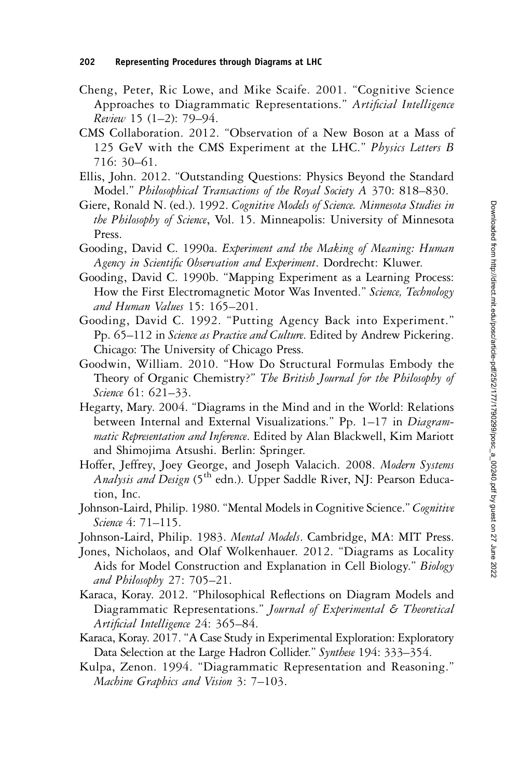- Cheng, Peter, Ric Lowe, and Mike Scaife. 2001. "Cognitive Science Approaches to Diagrammatic Representations." Artificial Intelligence Review 15 (1–2): 79–94.
- CMS Collaboration. 2012. "Observation of a New Boson at a Mass of 125 GeV with the CMS Experiment at the LHC." Physics Letters B 716: 30–61.
- Ellis, John. 2012. "Outstanding Questions: Physics Beyond the Standard Model." Philosophical Transactions of the Royal Society A 370: 818–830.
- Giere, Ronald N. (ed.). 1992. Cognitive Models of Science. Minnesota Studies in the Philosophy of Science, Vol. 15. Minneapolis: University of Minnesota Press.
- Gooding, David C. 1990a. Experiment and the Making of Meaning: Human Agency in Scientific Observation and Experiment. Dordrecht: Kluwer.
- Gooding, David C. 1990b. "Mapping Experiment as a Learning Process: How the First Electromagnetic Motor Was Invented." Science, Technology and Human Values 15: 165–201.
- Gooding, David C. 1992. "Putting Agency Back into Experiment." Pp. 65–112 in Science as Practice and Culture. Edited by Andrew Pickering. Chicago: The University of Chicago Press.
- Goodwin, William. 2010. "How Do Structural Formulas Embody the Theory of Organic Chemistry?" The British Journal for the Philosophy of Science 61: 621–33.
- Hegarty, Mary. 2004. "Diagrams in the Mind and in the World: Relations between Internal and External Visualizations." Pp. 1–17 in Diagrammatic Representation and Inference. Edited by Alan Blackwell, Kim Mariott and Shimojima Atsushi. Berlin: Springer.
- Hoffer, Jeffrey, Joey George, and Joseph Valacich. 2008. Modern Systems Analysis and Design (5<sup>th</sup> edn.). Upper Saddle River, NJ: Pearson Education, Inc.
- Johnson-Laird, Philip. 1980. "Mental Models in Cognitive Science." Cognitive Science 4: 71-115.

Johnson-Laird, Philip. 1983. Mental Models. Cambridge, MA: MIT Press.

- Jones, Nicholaos, and Olaf Wolkenhauer. 2012. "Diagrams as Locality Aids for Model Construction and Explanation in Cell Biology." Biology and Philosophy 27: 705–21.
- Karaca, Koray. 2012. "Philosophical Reflections on Diagram Models and Diagrammatic Representations." Journal of Experimental & Theoretical Artificial Intelligence 24: 365–84.
- Karaca, Koray. 2017."A Case Study in Experimental Exploration: Exploratory Data Selection at the Large Hadron Collider." Synthese 194: 333–354.
- Kulpa, Zenon. 1994. "Diagrammatic Representation and Reasoning." Machine Graphics and Vision 3: 7–103.